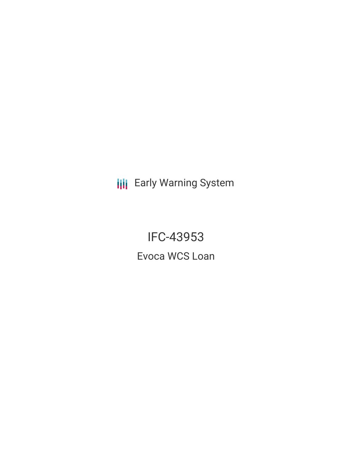**III** Early Warning System

IFC-43953 Evoca WCS Loan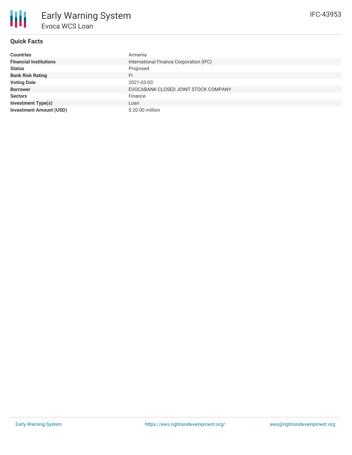

# **Quick Facts**

| <b>Countries</b>               | Armenia                                 |
|--------------------------------|-----------------------------------------|
| <b>Financial Institutions</b>  | International Finance Corporation (IFC) |
| <b>Status</b>                  | Proposed                                |
| <b>Bank Risk Rating</b>        | FI                                      |
| <b>Voting Date</b>             | 2021-03-03                              |
| <b>Borrower</b>                | EVOCABANK CLOSED JOINT STOCK COMPANY    |
| <b>Sectors</b>                 | Finance                                 |
| <b>Investment Type(s)</b>      | Loan                                    |
| <b>Investment Amount (USD)</b> | \$20.00 million                         |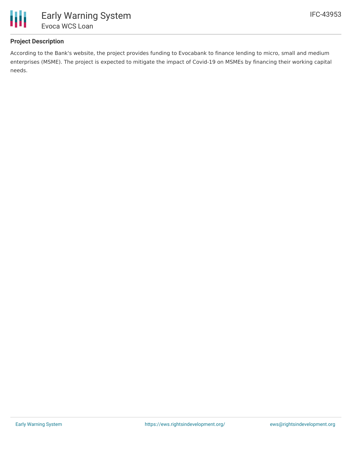

## **Project Description**

According to the Bank's website, the project provides funding to Evocabank to finance lending to micro, small and medium enterprises (MSME). The project is expected to mitigate the impact of Covid-19 on MSMEs by financing their working capital needs.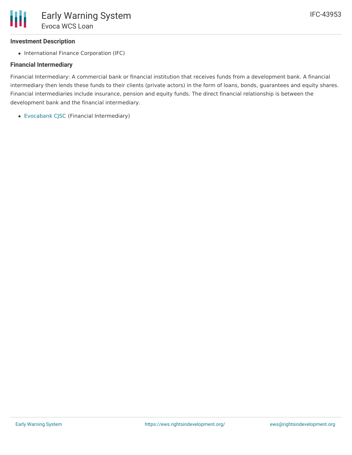## **Investment Description**

• International Finance Corporation (IFC)

### **Financial Intermediary**

Financial Intermediary: A commercial bank or financial institution that receives funds from a development bank. A financial intermediary then lends these funds to their clients (private actors) in the form of loans, bonds, guarantees and equity shares. Financial intermediaries include insurance, pension and equity funds. The direct financial relationship is between the development bank and the financial intermediary.

[Evocabank](file:///actor/3836/) CJSC (Financial Intermediary)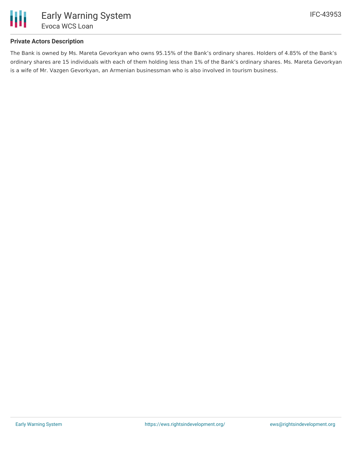

## **Private Actors Description**

The Bank is owned by Ms. Mareta Gevorkyan who owns 95.15% of the Bank's ordinary shares. Holders of 4.85% of the Bank's ordinary shares are 15 individuals with each of them holding less than 1% of the Bank's ordinary shares. Ms. Mareta Gevorkyan is a wife of Mr. Vazgen Gevorkyan, an Armenian businessman who is also involved in tourism business.